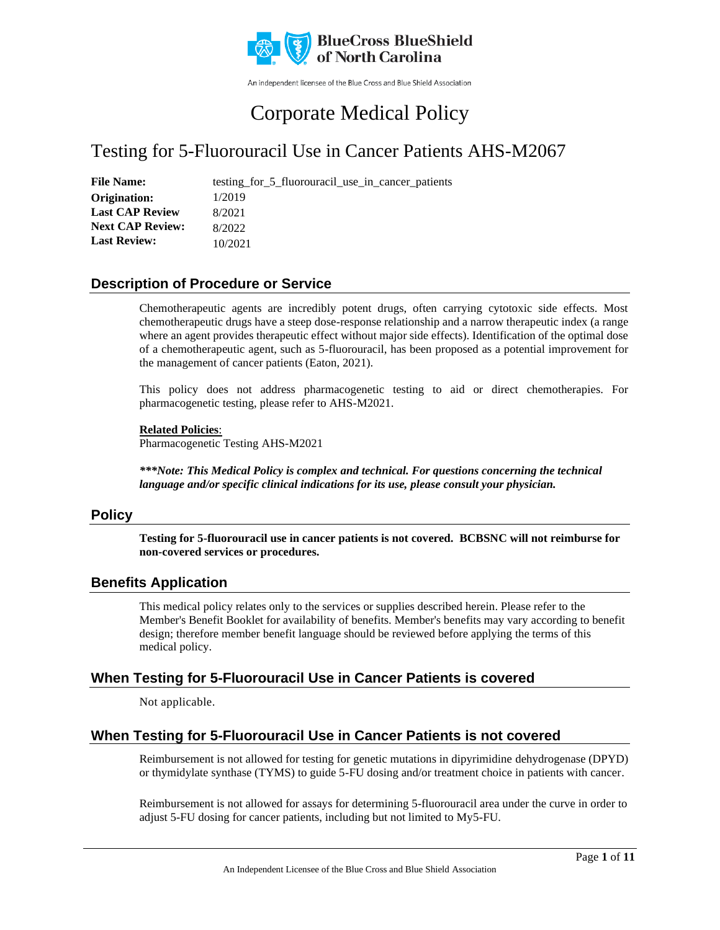

An independent licensee of the Blue Cross and Blue Shield Association

# Corporate Medical Policy

## Testing for 5-Fluorouracil Use in Cancer Patients AHS-M2067

File Name: testing\_for\_5\_fluorouracil\_use\_in\_cancer\_patients 1/2019 8/2021 8/2022 10/2021 **Origination: Last CAP Review Next CAP Review: Last Review:**

### **Description of Procedure or Service**

Chemotherapeutic agents are incredibly potent drugs, often carrying cytotoxic side effects. Most chemotherapeutic drugs have a steep dose-response relationship and a narrow therapeutic index (a range where an agent provides therapeutic effect without major side effects). Identification of the optimal dose of a chemotherapeutic agent, such as 5-fluorouracil, has been proposed as a potential improvement for the management of cancer patients (Eaton, 2021).

This policy does not address pharmacogenetic testing to aid or direct chemotherapies. For pharmacogenetic testing, please refer to AHS-M2021.

**Related Policies**: Pharmacogenetic Testing AHS-M2021

*\*\*\*Note: This Medical Policy is complex and technical. For questions concerning the technical language and/or specific clinical indications for its use, please consult your physician.*

#### **Policy**

**Testing for 5-fluorouracil use in cancer patients is not covered. BCBSNC will not reimburse for non-covered services or procedures.** 

#### **Benefits Application**

This medical policy relates only to the services or supplies described herein. Please refer to the Member's Benefit Booklet for availability of benefits. Member's benefits may vary according to benefit design; therefore member benefit language should be reviewed before applying the terms of this medical policy.

### **When Testing for 5-Fluorouracil Use in Cancer Patients is covered**

Not applicable.

### **When Testing for 5-Fluorouracil Use in Cancer Patients is not covered**

Reimbursement is not allowed for testing for genetic mutations in dipyrimidine dehydrogenase (DPYD) or thymidylate synthase (TYMS) to guide 5-FU dosing and/or treatment choice in patients with cancer.

Reimbursement is not allowed for assays for determining 5-fluorouracil area under the curve in order to adjust 5-FU dosing for cancer patients, including but not limited to My5-FU.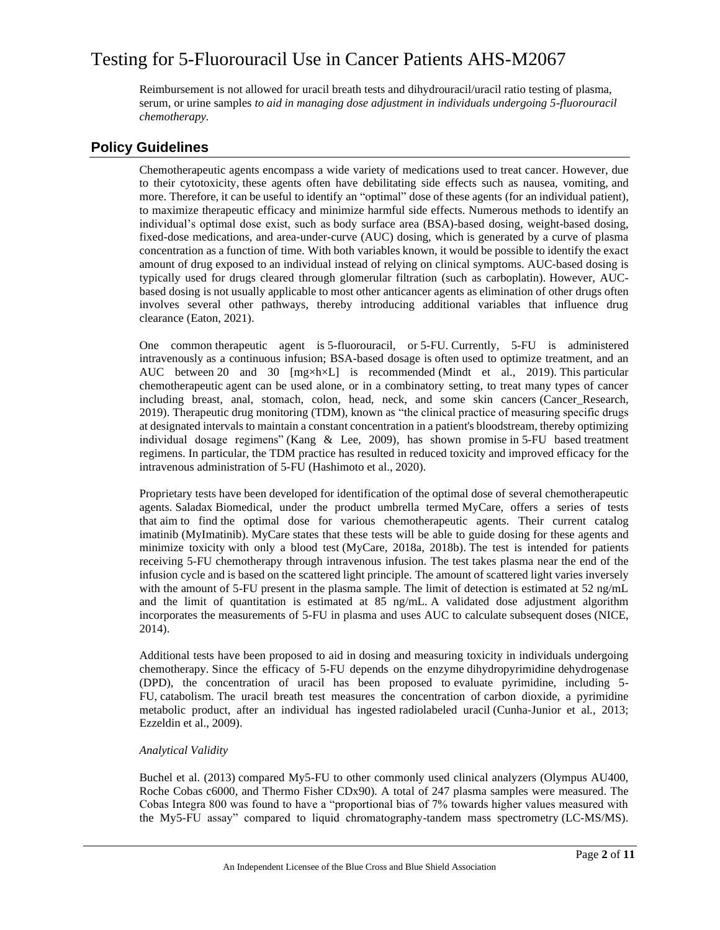Reimbursement is not allowed for uracil breath tests and dihydrouracil/uracil ratio testing of plasma, serum, or urine samples *to aid in managing dose adjustment in individuals undergoing 5-fluorouracil chemotherapy.*

### **Policy Guidelines**

Chemotherapeutic agents encompass a wide variety of medications used to treat cancer. However, due to their cytotoxicity, these agents often have debilitating side effects such as nausea, vomiting, and more. Therefore, it can be useful to identify an "optimal" dose of these agents (for an individual patient), to maximize therapeutic efficacy and minimize harmful side effects. Numerous methods to identify an individual's optimal dose exist, such as body surface area (BSA)-based dosing, weight-based dosing, fixed-dose medications, and area-under-curve (AUC) dosing, which is generated by a curve of plasma concentration as a function of time. With both variables known, it would be possible to identify the exact amount of drug exposed to an individual instead of relying on clinical symptoms. AUC-based dosing is typically used for drugs cleared through glomerular filtration (such as carboplatin). However, AUCbased dosing is not usually applicable to most other anticancer agents as elimination of other drugs often involves several other pathways, thereby introducing additional variables that influence drug clearance (Eaton, 2021).

One common therapeutic agent is 5-fluorouracil, or 5-FU. Currently, 5-FU is administered intravenously as a continuous infusion; BSA-based dosage is often used to optimize treatment, and an AUC between 20 and 30 [mg×h×L] is recommended (Mindt et al., 2019). This particular chemotherapeutic agent can be used alone, or in a combinatory setting, to treat many types of cancer including breast, anal, stomach, colon, head, neck, and some skin cancers (Cancer\_Research, 2019). Therapeutic drug monitoring (TDM), known as "the clinical practice of measuring specific drugs at designated intervals to maintain a constant concentration in a patient's bloodstream, thereby optimizing individual dosage regimens" (Kang & Lee, 2009), has shown promise in 5-FU based treatment regimens. In particular, the TDM practice has resulted in reduced toxicity and improved efficacy for the intravenous administration of 5-FU (Hashimoto et al., 2020).

Proprietary tests have been developed for identification of the optimal dose of several chemotherapeutic agents. Saladax Biomedical, under the product umbrella termed MyCare, offers a series of tests that aim to find the optimal dose for various chemotherapeutic agents. Their current catalog imatinib (MyImatinib). MyCare states that these tests will be able to guide dosing for these agents and minimize toxicity with only a blood test (MyCare, 2018a, 2018b). The test is intended for patients receiving 5-FU chemotherapy through intravenous infusion. The test takes plasma near the end of the infusion cycle and is based on the scattered light principle. The amount of scattered light varies inversely with the amount of 5-FU present in the plasma sample. The limit of detection is estimated at 52 ng/mL and the limit of quantitation is estimated at 85 ng/mL. A validated dose adjustment algorithm incorporates the measurements of 5-FU in plasma and uses AUC to calculate subsequent doses (NICE, 2014).

Additional tests have been proposed to aid in dosing and measuring toxicity in individuals undergoing chemotherapy. Since the efficacy of 5-FU depends on the enzyme dihydropyrimidine dehydrogenase (DPD), the concentration of uracil has been proposed to evaluate pyrimidine, including 5- FU, catabolism. The uracil breath test measures the concentration of carbon dioxide, a pyrimidine metabolic product, after an individual has ingested radiolabeled uracil (Cunha-Junior et al., 2013; Ezzeldin et al., 2009).

#### *Analytical Validity*

Buchel et al. (2013) compared My5-FU to other commonly used clinical analyzers (Olympus AU400, Roche Cobas c6000, and Thermo Fisher CDx90). A total of 247 plasma samples were measured. The Cobas Integra 800 was found to have a "proportional bias of 7% towards higher values measured with the My5-FU assay" compared to liquid chromatography-tandem mass spectrometry (LC-MS/MS).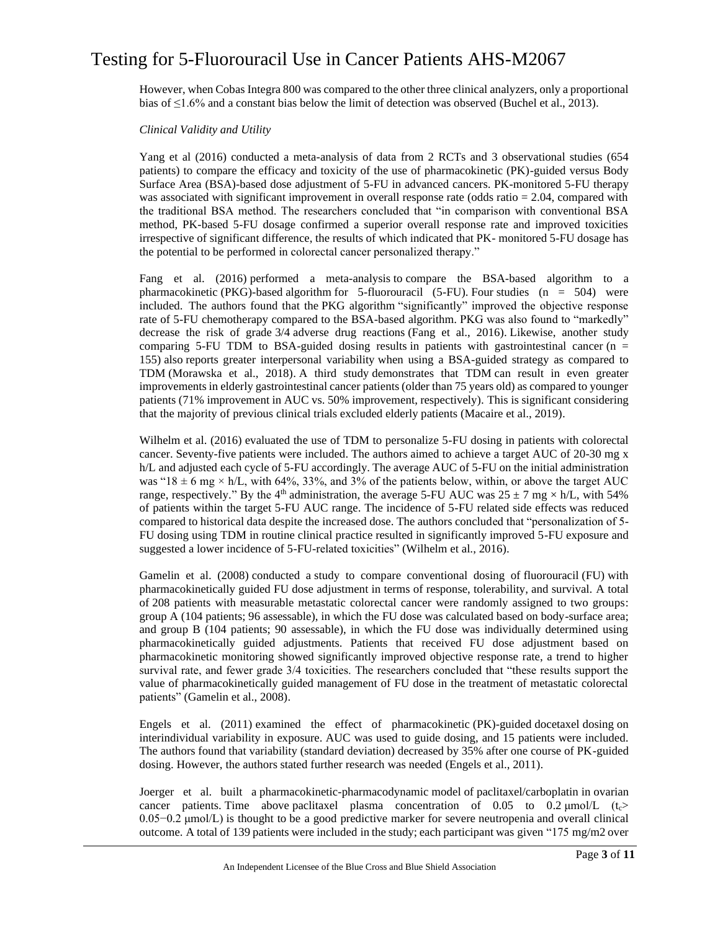However, when Cobas Integra 800 was compared to the other three clinical analyzers, only a proportional bias of ≤1.6% and a constant bias below the limit of detection was observed (Buchel et al., 2013).

#### *Clinical Validity and Utility*

Yang et al (2016) conducted a meta-analysis of data from 2 RCTs and 3 observational studies (654 patients) to compare the efficacy and toxicity of the use of pharmacokinetic (PK)-guided versus Body Surface Area (BSA)-based dose adjustment of 5-FU in advanced cancers. PK-monitored 5-FU therapy was associated with significant improvement in overall response rate (odds ratio = 2.04, compared with the traditional BSA method. The researchers concluded that "in comparison with conventional BSA method, PK-based 5-FU dosage confirmed a superior overall response rate and improved toxicities irrespective of significant difference, the results of which indicated that PK- monitored 5-FU dosage has the potential to be performed in colorectal cancer personalized therapy."

Fang et al. (2016) performed a meta-analysis to compare the BSA-based algorithm to a pharmacokinetic (PKG)-based algorithm for 5-fluorouracil (5-FU). Four studies (n = 504) were included. The authors found that the PKG algorithm "significantly" improved the objective response rate of 5-FU chemotherapy compared to the BSA-based algorithm. PKG was also found to "markedly" decrease the risk of grade 3/4 adverse drug reactions (Fang et al., 2016). Likewise, another study comparing 5-FU TDM to BSA-guided dosing results in patients with gastrointestinal cancer ( $n =$ 155) also reports greater interpersonal variability when using a BSA-guided strategy as compared to TDM (Morawska et al., 2018). A third study demonstrates that TDM can result in even greater improvements in elderly gastrointestinal cancer patients (older than 75 years old) as compared to younger patients (71% improvement in AUC vs. 50% improvement, respectively). This is significant considering that the majority of previous clinical trials excluded elderly patients (Macaire et al., 2019).

Wilhelm et al. (2016) evaluated the use of TDM to personalize 5-FU dosing in patients with colorectal cancer. Seventy-five patients were included. The authors aimed to achieve a target AUC of 20-30 mg x h/L and adjusted each cycle of 5-FU accordingly. The average AUC of 5-FU on the initial administration was " $18 \pm 6$  mg  $\times$  h/L, with 64%, 33%, and 3% of the patients below, within, or above the target AUC range, respectively." By the 4<sup>th</sup> administration, the average 5-FU AUC was  $25 \pm 7$  mg × h/L, with 54% of patients within the target 5-FU AUC range. The incidence of 5-FU related side effects was reduced compared to historical data despite the increased dose. The authors concluded that "personalization of 5- FU dosing using TDM in routine clinical practice resulted in significantly improved 5-FU exposure and suggested a lower incidence of 5-FU-related toxicities" (Wilhelm et al., 2016).

Gamelin et al. (2008) conducted a study to compare conventional dosing of fluorouracil (FU) with pharmacokinetically guided FU dose adjustment in terms of response, tolerability, and survival. A total of 208 patients with measurable metastatic colorectal cancer were randomly assigned to two groups: group A (104 patients; 96 assessable), in which the FU dose was calculated based on body-surface area; and group B (104 patients; 90 assessable), in which the FU dose was individually determined using pharmacokinetically guided adjustments. Patients that received FU dose adjustment based on pharmacokinetic monitoring showed significantly improved objective response rate, a trend to higher survival rate, and fewer grade 3/4 toxicities. The researchers concluded that "these results support the value of pharmacokinetically guided management of FU dose in the treatment of metastatic colorectal patients" (Gamelin et al., 2008).

Engels et al. (2011) examined the effect of pharmacokinetic (PK)-guided docetaxel dosing on interindividual variability in exposure. AUC was used to guide dosing, and 15 patients were included. The authors found that variability (standard deviation) decreased by 35% after one course of PK-guided dosing. However, the authors stated further research was needed (Engels et al., 2011).

Joerger et al. built a pharmacokinetic-pharmacodynamic model of paclitaxel/carboplatin in ovarian cancer patients. Time above paclitaxel plasma concentration of  $0.05$  to  $0.2 \mu m o/L$  (t<sub>c</sub>> 0.05−0.2 μmol/L) is thought to be a good predictive marker for severe neutropenia and overall clinical outcome. A total of 139 patients were included in the study; each participant was given "175 mg/m2 over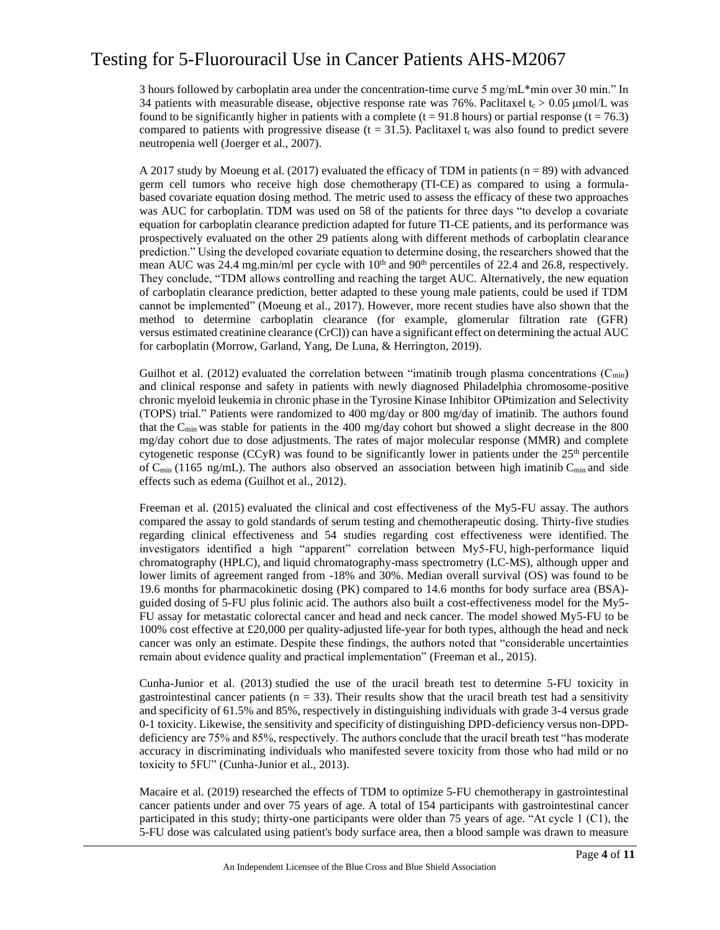3 hours followed by carboplatin area under the concentration-time curve 5 mg/mL\*min over 30 min." In 34 patients with measurable disease, objective response rate was 76%. Paclitaxel  $t_c > 0.05 \mu m o/L$  was found to be significantly higher in patients with a complete ( $t = 91.8$  hours) or partial response ( $t = 76.3$ ) compared to patients with progressive disease ( $t = 31.5$ ). Paclitaxel  $t_c$  was also found to predict severe neutropenia well (Joerger et al., 2007).

A 2017 study by Moeung et al. (2017) evaluated the efficacy of TDM in patients ( $n = 89$ ) with advanced germ cell tumors who receive high dose chemotherapy (TI-CE) as compared to using a formulabased covariate equation dosing method. The metric used to assess the efficacy of these two approaches was AUC for carboplatin. TDM was used on 58 of the patients for three days "to develop a covariate equation for carboplatin clearance prediction adapted for future TI-CE patients, and its performance was prospectively evaluated on the other 29 patients along with different methods of carboplatin clearance prediction." Using the developed covariate equation to determine dosing, the researchers showed that the mean AUC was 24.4 mg.min/ml per cycle with  $10<sup>th</sup>$  and  $90<sup>th</sup>$  percentiles of 22.4 and 26.8, respectively. They conclude, "TDM allows controlling and reaching the target AUC. Alternatively, the new equation of carboplatin clearance prediction, better adapted to these young male patients, could be used if TDM cannot be implemented" (Moeung et al., 2017). However, more recent studies have also shown that the method to determine carboplatin clearance (for example, glomerular filtration rate (GFR) versus estimated creatinine clearance (CrCl)) can have a significant effect on determining the actual AUC for carboplatin (Morrow, Garland, Yang, De Luna, & Herrington, 2019).

Guilhot et al. (2012) evaluated the correlation between "imatinib trough plasma concentrations  $(C_{min})$ and clinical response and safety in patients with newly diagnosed Philadelphia chromosome-positive chronic myeloid leukemia in chronic phase in the Tyrosine Kinase Inhibitor OPtimization and Selectivity (TOPS) trial." Patients were randomized to 400 mg/day or 800 mg/day of imatinib. The authors found that the  $C_{\text{min}}$  was stable for patients in the 400 mg/day cohort but showed a slight decrease in the 800 mg/day cohort due to dose adjustments. The rates of major molecular response (MMR) and complete cytogenetic response (CCyR) was found to be significantly lower in patients under the  $25<sup>th</sup>$  percentile of  $C_{\text{min}}$  (1165 ng/mL). The authors also observed an association between high imatinib  $C_{\text{min}}$  and side effects such as edema (Guilhot et al., 2012).

Freeman et al. (2015) evaluated the clinical and cost effectiveness of the My5-FU assay. The authors compared the assay to gold standards of serum testing and chemotherapeutic dosing. Thirty-five studies regarding clinical effectiveness and 54 studies regarding cost effectiveness were identified. The investigators identified a high "apparent" correlation between My5-FU, high-performance liquid chromatography (HPLC), and liquid chromatography-mass spectrometry (LC-MS), although upper and lower limits of agreement ranged from -18% and 30%. Median overall survival (OS) was found to be 19.6 months for pharmacokinetic dosing (PK) compared to 14.6 months for body surface area (BSA) guided dosing of 5-FU plus folinic acid. The authors also built a cost-effectiveness model for the My5- FU assay for metastatic colorectal cancer and head and neck cancer. The model showed My5-FU to be 100% cost effective at £20,000 per quality-adjusted life-year for both types, although the head and neck cancer was only an estimate. Despite these findings, the authors noted that "considerable uncertainties remain about evidence quality and practical implementation" (Freeman et al., 2015).

Cunha-Junior et al. (2013) studied the use of the uracil breath test to determine 5-FU toxicity in gastrointestinal cancer patients  $(n = 33)$ . Their results show that the uracil breath test had a sensitivity and specificity of 61.5% and 85%, respectively in distinguishing individuals with grade 3-4 versus grade 0-1 toxicity. Likewise, the sensitivity and specificity of distinguishing DPD-deficiency versus non-DPDdeficiency are 75% and 85%, respectively. The authors conclude that the uracil breath test "has moderate accuracy in discriminating individuals who manifested severe toxicity from those who had mild or no toxicity to 5FU" (Cunha-Junior et al., 2013).

Macaire et al. (2019) researched the effects of TDM to optimize 5-FU chemotherapy in gastrointestinal cancer patients under and over 75 years of age. A total of 154 participants with gastrointestinal cancer participated in this study; thirty-one participants were older than 75 years of age. "At cycle 1 (C1), the 5-FU dose was calculated using patient's body surface area, then a blood sample was drawn to measure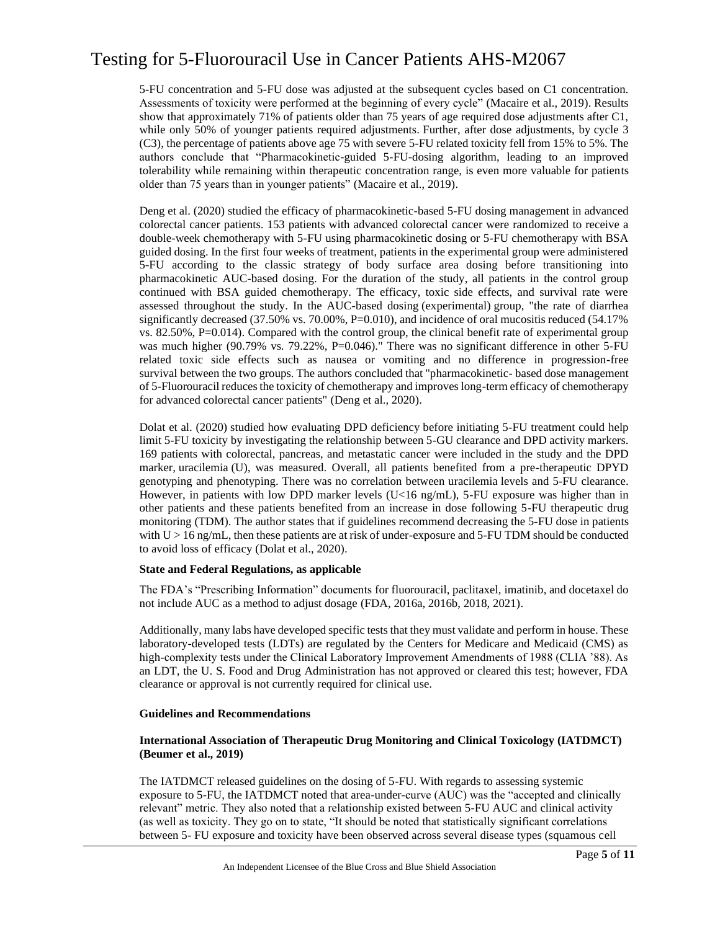5-FU concentration and 5-FU dose was adjusted at the subsequent cycles based on C1 concentration. Assessments of toxicity were performed at the beginning of every cycle" (Macaire et al., 2019). Results show that approximately 71% of patients older than 75 years of age required dose adjustments after C1, while only 50% of younger patients required adjustments. Further, after dose adjustments, by cycle 3 (C3), the percentage of patients above age 75 with severe 5-FU related toxicity fell from 15% to 5%. The authors conclude that "Pharmacokinetic-guided 5-FU-dosing algorithm, leading to an improved tolerability while remaining within therapeutic concentration range, is even more valuable for patients older than 75 years than in younger patients" (Macaire et al., 2019).

Deng et al. (2020) studied the efficacy of pharmacokinetic-based 5-FU dosing management in advanced colorectal cancer patients. 153 patients with advanced colorectal cancer were randomized to receive a double-week chemotherapy with 5-FU using pharmacokinetic dosing or 5-FU chemotherapy with BSA guided dosing. In the first four weeks of treatment, patients in the experimental group were administered 5-FU according to the classic strategy of body surface area dosing before transitioning into pharmacokinetic AUC-based dosing. For the duration of the study, all patients in the control group continued with BSA guided chemotherapy. The efficacy, toxic side effects, and survival rate were assessed throughout the study. In the AUC-based dosing (experimental) group, "the rate of diarrhea significantly decreased  $(37.50\% \text{ vs. } 70.00\% , P=0.010)$ , and incidence of oral mucositis reduced  $(54.17\%$ vs. 82.50%, P=0.014). Compared with the control group, the clinical benefit rate of experimental group was much higher (90.79% vs. 79.22%, P=0.046)." There was no significant difference in other 5-FU related toxic side effects such as nausea or vomiting and no difference in progression-free survival between the two groups. The authors concluded that "pharmacokinetic- based dose management of 5-Fluorouracil reduces the toxicity of chemotherapy and improves long-term efficacy of chemotherapy for advanced colorectal cancer patients" (Deng et al., 2020).

Dolat et al. (2020) studied how evaluating DPD deficiency before initiating 5-FU treatment could help limit 5-FU toxicity by investigating the relationship between 5-GU clearance and DPD activity markers. 169 patients with colorectal, pancreas, and metastatic cancer were included in the study and the DPD marker, uracilemia (U), was measured. Overall, all patients benefited from a pre-therapeutic DPYD genotyping and phenotyping. There was no correlation between uracilemia levels and 5-FU clearance. However, in patients with low DPD marker levels (U<16 ng/mL), 5-FU exposure was higher than in other patients and these patients benefited from an increase in dose following 5-FU therapeutic drug monitoring (TDM). The author states that if guidelines recommend decreasing the 5-FU dose in patients with  $U > 16$  ng/mL, then these patients are at risk of under-exposure and 5-FU TDM should be conducted to avoid loss of efficacy (Dolat et al., 2020).

#### **State and Federal Regulations, as applicable**

The FDA's "Prescribing Information" documents for fluorouracil, paclitaxel, imatinib, and docetaxel do not include AUC as a method to adjust dosage (FDA, 2016a, 2016b, 2018, 2021).

Additionally, many labs have developed specific tests that they must validate and perform in house. These laboratory-developed tests (LDTs) are regulated by the Centers for Medicare and Medicaid (CMS) as high-complexity tests under the Clinical Laboratory Improvement Amendments of 1988 (CLIA '88). As an LDT, the U. S. Food and Drug Administration has not approved or cleared this test; however, FDA clearance or approval is not currently required for clinical use.

#### **Guidelines and Recommendations**

#### **International Association of Therapeutic Drug Monitoring and Clinical Toxicology (IATDMCT) (Beumer et al., 2019)**

The IATDMCT released guidelines on the dosing of 5-FU. With regards to assessing systemic exposure to 5-FU, the IATDMCT noted that area-under-curve (AUC) was the "accepted and clinically relevant" metric. They also noted that a relationship existed between 5-FU AUC and clinical activity (as well as toxicity. They go on to state, "It should be noted that statistically significant correlations between 5- FU exposure and toxicity have been observed across several disease types (squamous cell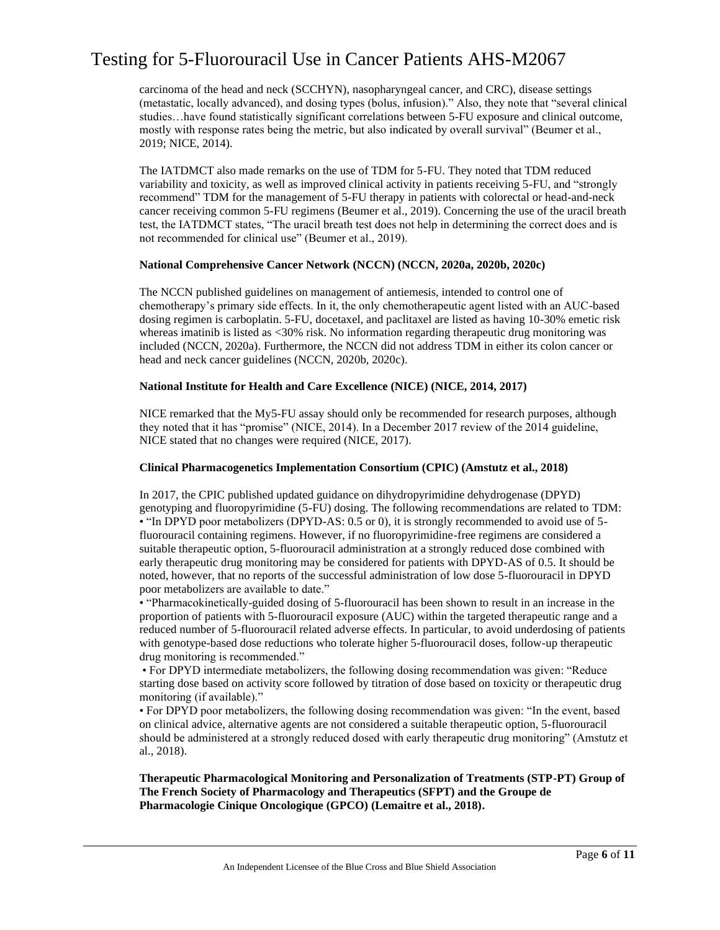carcinoma of the head and neck (SCCHYN), nasopharyngeal cancer, and CRC), disease settings (metastatic, locally advanced), and dosing types (bolus, infusion)." Also, they note that "several clinical studies…have found statistically significant correlations between 5-FU exposure and clinical outcome, mostly with response rates being the metric, but also indicated by overall survival" (Beumer et al., 2019; NICE, 2014).

The IATDMCT also made remarks on the use of TDM for 5-FU. They noted that TDM reduced variability and toxicity, as well as improved clinical activity in patients receiving 5-FU, and "strongly recommend" TDM for the management of 5-FU therapy in patients with colorectal or head-and-neck cancer receiving common 5-FU regimens (Beumer et al., 2019). Concerning the use of the uracil breath test, the IATDMCT states, "The uracil breath test does not help in determining the correct does and is not recommended for clinical use" (Beumer et al., 2019).

#### **National Comprehensive Cancer Network (NCCN) (NCCN, 2020a, 2020b, 2020c)**

The NCCN published guidelines on management of antiemesis, intended to control one of chemotherapy's primary side effects. In it, the only chemotherapeutic agent listed with an AUC-based dosing regimen is carboplatin. 5-FU, docetaxel, and paclitaxel are listed as having 10-30% emetic risk whereas imatinib is listed as <30% risk. No information regarding therapeutic drug monitoring was included (NCCN, 2020a). Furthermore, the NCCN did not address TDM in either its colon cancer or head and neck cancer guidelines (NCCN, 2020b, 2020c).

#### **National Institute for Health and Care Excellence (NICE) (NICE, 2014, 2017)**

NICE remarked that the My5-FU assay should only be recommended for research purposes, although they noted that it has "promise" (NICE, 2014). In a December 2017 review of the 2014 guideline, NICE stated that no changes were required (NICE, 2017).

#### **Clinical Pharmacogenetics Implementation Consortium (CPIC) (Amstutz et al., 2018)**

In 2017, the CPIC published updated guidance on dihydropyrimidine dehydrogenase (DPYD) genotyping and fluoropyrimidine (5-FU) dosing. The following recommendations are related to TDM: • "In DPYD poor metabolizers (DPYD-AS: 0.5 or 0), it is strongly recommended to avoid use of 5 fluorouracil containing regimens. However, if no fluoropyrimidine-free regimens are considered a suitable therapeutic option, 5-fluorouracil administration at a strongly reduced dose combined with early therapeutic drug monitoring may be considered for patients with DPYD-AS of 0.5. It should be noted, however, that no reports of the successful administration of low dose 5-fluorouracil in DPYD poor metabolizers are available to date."

• "Pharmacokinetically-guided dosing of 5-fluorouracil has been shown to result in an increase in the proportion of patients with 5-fluorouracil exposure (AUC) within the targeted therapeutic range and a reduced number of 5-fluorouracil related adverse effects. In particular, to avoid underdosing of patients with genotype-based dose reductions who tolerate higher 5-fluorouracil doses, follow-up therapeutic drug monitoring is recommended."

• For DPYD intermediate metabolizers, the following dosing recommendation was given: "Reduce starting dose based on activity score followed by titration of dose based on toxicity or therapeutic drug monitoring (if available)."

• For DPYD poor metabolizers, the following dosing recommendation was given: "In the event, based on clinical advice, alternative agents are not considered a suitable therapeutic option, 5-fluorouracil should be administered at a strongly reduced dosed with early therapeutic drug monitoring" (Amstutz et al., 2018).

**Therapeutic Pharmacological Monitoring and Personalization of Treatments (STP-PT) Group of The French Society of Pharmacology and Therapeutics (SFPT) and the Groupe de Pharmacologie Cinique Oncologique (GPCO) (Lemaitre et al., 2018).**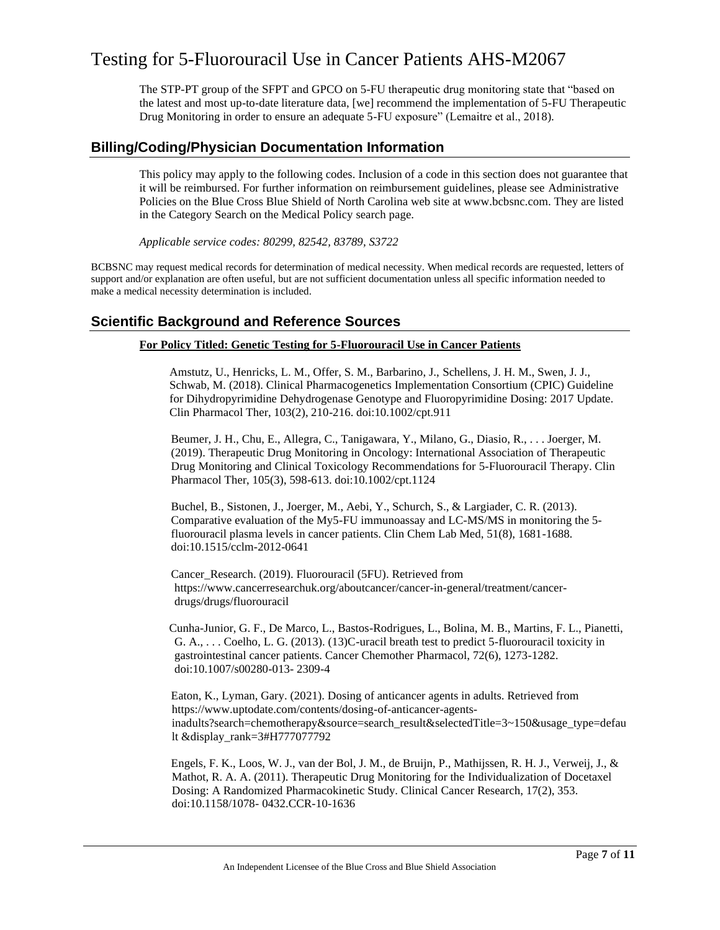The STP-PT group of the SFPT and GPCO on 5-FU therapeutic drug monitoring state that "based on the latest and most up-to-date literature data, [we] recommend the implementation of 5-FU Therapeutic Drug Monitoring in order to ensure an adequate 5-FU exposure" (Lemaitre et al., 2018).

### **Billing/Coding/Physician Documentation Information**

This policy may apply to the following codes. Inclusion of a code in this section does not guarantee that it will be reimbursed. For further information on reimbursement guidelines, please see Administrative Policies on the Blue Cross Blue Shield of North Carolina web site at www.bcbsnc.com. They are listed in the Category Search on the Medical Policy search page.

*Applicable service codes: 80299, 82542, 83789, S3722*

BCBSNC may request medical records for determination of medical necessity. When medical records are requested, letters of support and/or explanation are often useful, but are not sufficient documentation unless all specific information needed to make a medical necessity determination is included.

### **Scientific Background and Reference Sources**

#### **For Policy Titled: Genetic Testing for 5-Fluorouracil Use in Cancer Patients**

Amstutz, U., Henricks, L. M., Offer, S. M., Barbarino, J., Schellens, J. H. M., Swen, J. J., Schwab, M. (2018). Clinical Pharmacogenetics Implementation Consortium (CPIC) Guideline for Dihydropyrimidine Dehydrogenase Genotype and Fluoropyrimidine Dosing: 2017 Update. Clin Pharmacol Ther, 103(2), 210-216. doi:10.1002/cpt.911

Beumer, J. H., Chu, E., Allegra, C., Tanigawara, Y., Milano, G., Diasio, R., . . . Joerger, M. (2019). Therapeutic Drug Monitoring in Oncology: International Association of Therapeutic Drug Monitoring and Clinical Toxicology Recommendations for 5-Fluorouracil Therapy. Clin Pharmacol Ther, 105(3), 598-613. doi:10.1002/cpt.1124

Buchel, B., Sistonen, J., Joerger, M., Aebi, Y., Schurch, S., & Largiader, C. R. (2013). Comparative evaluation of the My5-FU immunoassay and LC-MS/MS in monitoring the 5 fluorouracil plasma levels in cancer patients. Clin Chem Lab Med, 51(8), 1681-1688. doi:10.1515/cclm-2012-0641

Cancer\_Research. (2019). Fluorouracil (5FU). Retrieved from https://www.cancerresearchuk.org/aboutcancer/cancer-in-general/treatment/cancerdrugs/drugs/fluorouracil

Cunha-Junior, G. F., De Marco, L., Bastos-Rodrigues, L., Bolina, M. B., Martins, F. L., Pianetti, G. A., . . . Coelho, L. G. (2013). (13)C-uracil breath test to predict 5-fluorouracil toxicity in gastrointestinal cancer patients. Cancer Chemother Pharmacol, 72(6), 1273-1282. doi:10.1007/s00280-013- 2309-4

Eaton, K., Lyman, Gary. (2021). Dosing of anticancer agents in adults. Retrieved from https://www.uptodate.com/contents/dosing-of-anticancer-agentsinadults?search=chemotherapy&source=search\_result&selectedTitle=3~150&usage\_type=defau lt &display\_rank=3#H777077792

Engels, F. K., Loos, W. J., van der Bol, J. M., de Bruijn, P., Mathijssen, R. H. J., Verweij, J., & Mathot, R. A. A. (2011). Therapeutic Drug Monitoring for the Individualization of Docetaxel Dosing: A Randomized Pharmacokinetic Study. Clinical Cancer Research, 17(2), 353. doi:10.1158/1078- 0432.CCR-10-1636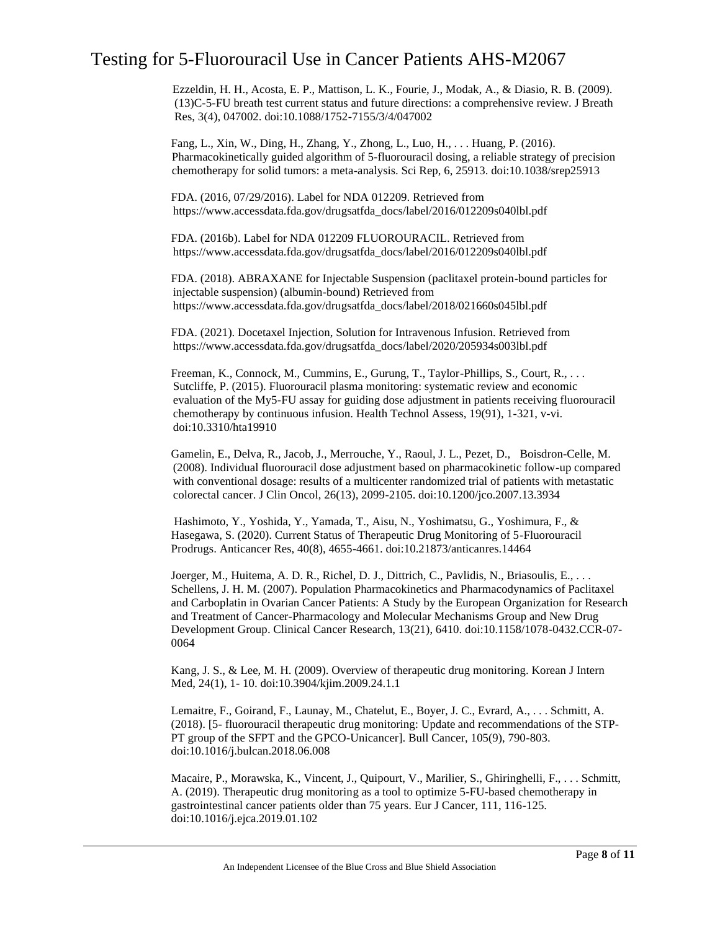Ezzeldin, H. H., Acosta, E. P., Mattison, L. K., Fourie, J., Modak, A., & Diasio, R. B. (2009). (13)C-5-FU breath test current status and future directions: a comprehensive review. J Breath Res, 3(4), 047002. doi:10.1088/1752-7155/3/4/047002

Fang, L., Xin, W., Ding, H., Zhang, Y., Zhong, L., Luo, H., . . . Huang, P. (2016). Pharmacokinetically guided algorithm of 5-fluorouracil dosing, a reliable strategy of precision chemotherapy for solid tumors: a meta-analysis. Sci Rep, 6, 25913. doi:10.1038/srep25913

FDA. (2016, 07/29/2016). Label for NDA 012209. Retrieved from https://www.accessdata.fda.gov/drugsatfda\_docs/label/2016/012209s040lbl.pdf

FDA. (2016b). Label for NDA 012209 FLUOROURACIL. Retrieved from https://www.accessdata.fda.gov/drugsatfda\_docs/label/2016/012209s040lbl.pdf

FDA. (2018). ABRAXANE for Injectable Suspension (paclitaxel protein-bound particles for injectable suspension) (albumin-bound) Retrieved from https://www.accessdata.fda.gov/drugsatfda\_docs/label/2018/021660s045lbl.pdf

FDA. (2021). Docetaxel Injection, Solution for Intravenous Infusion. Retrieved from https://www.accessdata.fda.gov/drugsatfda\_docs/label/2020/205934s003lbl.pdf

Freeman, K., Connock, M., Cummins, E., Gurung, T., Taylor-Phillips, S., Court, R., . . . Sutcliffe, P. (2015). Fluorouracil plasma monitoring: systematic review and economic evaluation of the My5-FU assay for guiding dose adjustment in patients receiving fluorouracil chemotherapy by continuous infusion. Health Technol Assess, 19(91), 1-321, v-vi. doi:10.3310/hta19910

Gamelin, E., Delva, R., Jacob, J., Merrouche, Y., Raoul, J. L., Pezet, D., Boisdron-Celle, M. (2008). Individual fluorouracil dose adjustment based on pharmacokinetic follow-up compared with conventional dosage: results of a multicenter randomized trial of patients with metastatic colorectal cancer. J Clin Oncol, 26(13), 2099-2105. doi:10.1200/jco.2007.13.3934

Hashimoto, Y., Yoshida, Y., Yamada, T., Aisu, N., Yoshimatsu, G., Yoshimura, F., & Hasegawa, S. (2020). Current Status of Therapeutic Drug Monitoring of 5-Fluorouracil Prodrugs. Anticancer Res, 40(8), 4655-4661. doi:10.21873/anticanres.14464

Joerger, M., Huitema, A. D. R., Richel, D. J., Dittrich, C., Pavlidis, N., Briasoulis, E., . . . Schellens, J. H. M. (2007). Population Pharmacokinetics and Pharmacodynamics of Paclitaxel and Carboplatin in Ovarian Cancer Patients: A Study by the European Organization for Research and Treatment of Cancer-Pharmacology and Molecular Mechanisms Group and New Drug Development Group. Clinical Cancer Research, 13(21), 6410. doi:10.1158/1078-0432.CCR-07- 0064

Kang, J. S., & Lee, M. H. (2009). Overview of therapeutic drug monitoring. Korean J Intern Med, 24(1), 1- 10. doi:10.3904/kjim.2009.24.1.1

Lemaitre, F., Goirand, F., Launay, M., Chatelut, E., Boyer, J. C., Evrard, A., . . . Schmitt, A. (2018). [5- fluorouracil therapeutic drug monitoring: Update and recommendations of the STP-PT group of the SFPT and the GPCO-Unicancer]. Bull Cancer, 105(9), 790-803. doi:10.1016/j.bulcan.2018.06.008

Macaire, P., Morawska, K., Vincent, J., Quipourt, V., Marilier, S., Ghiringhelli, F., . . . Schmitt, A. (2019). Therapeutic drug monitoring as a tool to optimize 5-FU-based chemotherapy in gastrointestinal cancer patients older than 75 years. Eur J Cancer, 111, 116-125. doi:10.1016/j.ejca.2019.01.102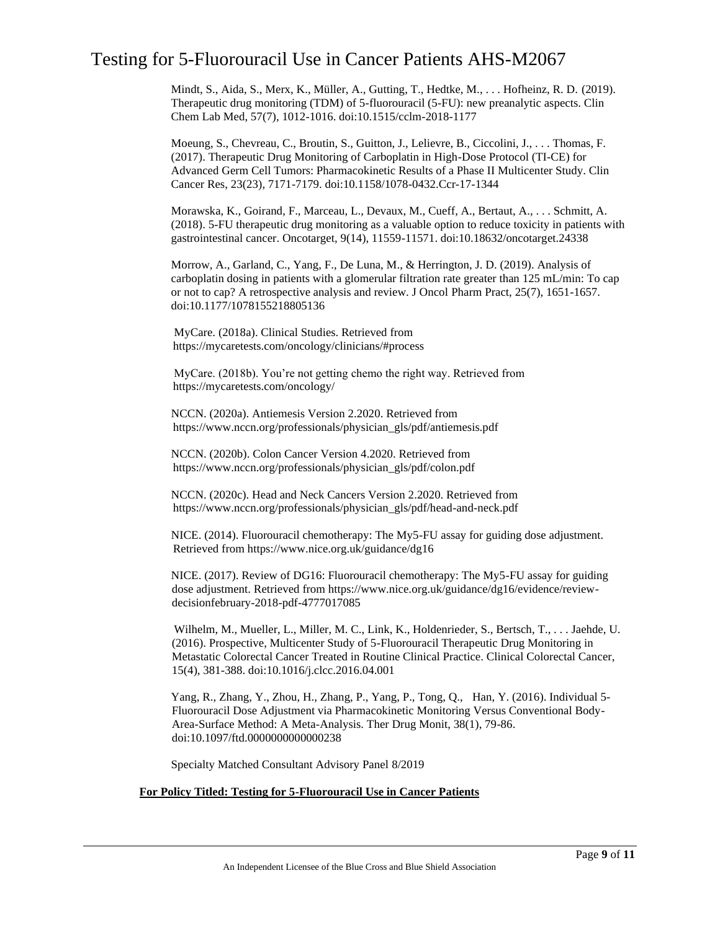Mindt, S., Aida, S., Merx, K., Müller, A., Gutting, T., Hedtke, M., . . . Hofheinz, R. D. (2019). Therapeutic drug monitoring (TDM) of 5-fluorouracil (5-FU): new preanalytic aspects. Clin Chem Lab Med, 57(7), 1012-1016. doi:10.1515/cclm-2018-1177

Moeung, S., Chevreau, C., Broutin, S., Guitton, J., Lelievre, B., Ciccolini, J., . . . Thomas, F. (2017). Therapeutic Drug Monitoring of Carboplatin in High-Dose Protocol (TI-CE) for Advanced Germ Cell Tumors: Pharmacokinetic Results of a Phase II Multicenter Study. Clin Cancer Res, 23(23), 7171-7179. doi:10.1158/1078-0432.Ccr-17-1344

Morawska, K., Goirand, F., Marceau, L., Devaux, M., Cueff, A., Bertaut, A., . . . Schmitt, A. (2018). 5-FU therapeutic drug monitoring as a valuable option to reduce toxicity in patients with gastrointestinal cancer. Oncotarget, 9(14), 11559-11571. doi:10.18632/oncotarget.24338

Morrow, A., Garland, C., Yang, F., De Luna, M., & Herrington, J. D. (2019). Analysis of carboplatin dosing in patients with a glomerular filtration rate greater than 125 mL/min: To cap or not to cap? A retrospective analysis and review. J Oncol Pharm Pract, 25(7), 1651-1657. doi:10.1177/1078155218805136

MyCare. (2018a). Clinical Studies. Retrieved from https://mycaretests.com/oncology/clinicians/#process

MyCare. (2018b). You're not getting chemo the right way. Retrieved from https://mycaretests.com/oncology/

NCCN. (2020a). Antiemesis Version 2.2020. Retrieved from https://www.nccn.org/professionals/physician\_gls/pdf/antiemesis.pdf

NCCN. (2020b). Colon Cancer Version 4.2020. Retrieved from https://www.nccn.org/professionals/physician\_gls/pdf/colon.pdf

NCCN. (2020c). Head and Neck Cancers Version 2.2020. Retrieved from https://www.nccn.org/professionals/physician\_gls/pdf/head-and-neck.pdf

NICE. (2014). Fluorouracil chemotherapy: The My5-FU assay for guiding dose adjustment. Retrieved from https://www.nice.org.uk/guidance/dg16

NICE. (2017). Review of DG16: Fluorouracil chemotherapy: The My5-FU assay for guiding dose adjustment. Retrieved from https://www.nice.org.uk/guidance/dg16/evidence/reviewdecisionfebruary-2018-pdf-4777017085

Wilhelm, M., Mueller, L., Miller, M. C., Link, K., Holdenrieder, S., Bertsch, T., . . . Jaehde, U. (2016). Prospective, Multicenter Study of 5-Fluorouracil Therapeutic Drug Monitoring in Metastatic Colorectal Cancer Treated in Routine Clinical Practice. Clinical Colorectal Cancer, 15(4), 381-388. doi:10.1016/j.clcc.2016.04.001

Yang, R., Zhang, Y., Zhou, H., Zhang, P., Yang, P., Tong, Q., Han, Y. (2016). Individual 5- Fluorouracil Dose Adjustment via Pharmacokinetic Monitoring Versus Conventional Body-Area-Surface Method: A Meta-Analysis. Ther Drug Monit, 38(1), 79-86. doi:10.1097/ftd.0000000000000238

Specialty Matched Consultant Advisory Panel 8/2019

#### **For Policy Titled: Testing for 5-Fluorouracil Use in Cancer Patients**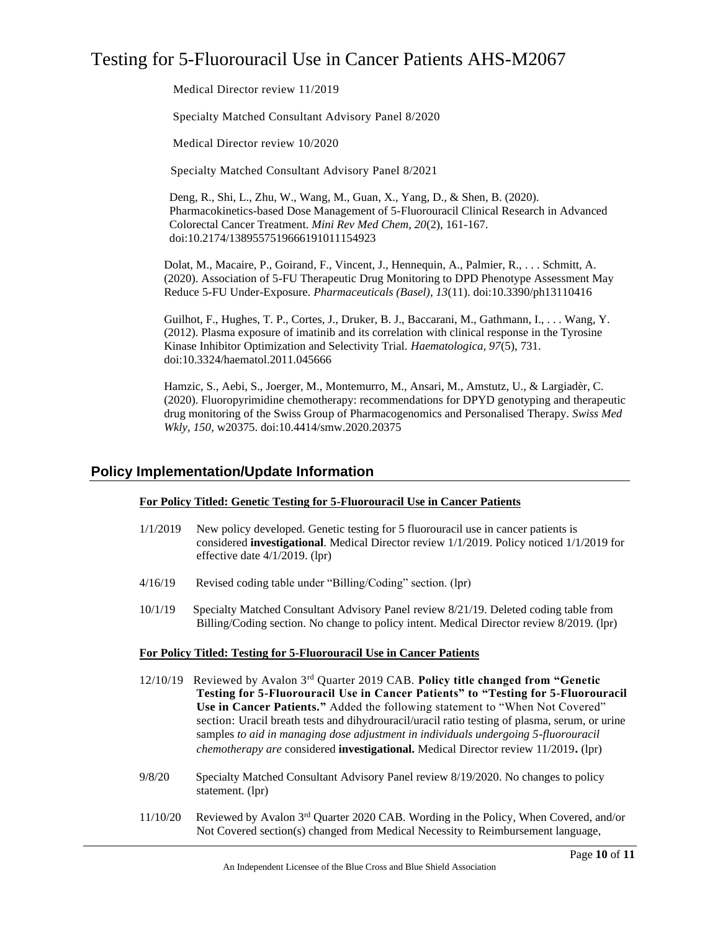Medical Director review 11/2019

Specialty Matched Consultant Advisory Panel 8/2020

Medical Director review 10/2020

Specialty Matched Consultant Advisory Panel 8/2021

Deng, R., Shi, L., Zhu, W., Wang, M., Guan, X., Yang, D., & Shen, B. (2020). Pharmacokinetics-based Dose Management of 5-Fluorouracil Clinical Research in Advanced Colorectal Cancer Treatment. *Mini Rev Med Chem, 20*(2), 161-167. doi:10.2174/1389557519666191011154923

Dolat, M., Macaire, P., Goirand, F., Vincent, J., Hennequin, A., Palmier, R., . . . Schmitt, A. (2020). Association of 5-FU Therapeutic Drug Monitoring to DPD Phenotype Assessment May Reduce 5-FU Under-Exposure. *Pharmaceuticals (Basel), 13*(11). doi:10.3390/ph13110416

Guilhot, F., Hughes, T. P., Cortes, J., Druker, B. J., Baccarani, M., Gathmann, I., . . . Wang, Y. (2012). Plasma exposure of imatinib and its correlation with clinical response in the Tyrosine Kinase Inhibitor Optimization and Selectivity Trial. *Haematologica, 97*(5), 731. doi:10.3324/haematol.2011.045666

Hamzic, S., Aebi, S., Joerger, M., Montemurro, M., Ansari, M., Amstutz, U., & Largiadèr, C. (2020). Fluoropyrimidine chemotherapy: recommendations for DPYD genotyping and therapeutic drug monitoring of the Swiss Group of Pharmacogenomics and Personalised Therapy. *Swiss Med Wkly, 150*, w20375. doi:10.4414/smw.2020.20375

### **Policy Implementation/Update Information**

#### **For Policy Titled: Genetic Testing for 5-Fluorouracil Use in Cancer Patients**

- 1/1/2019 New policy developed. Genetic testing for 5 fluorouracil use in cancer patients is considered **investigational**. Medical Director review 1/1/2019. Policy noticed 1/1/2019 for effective date 4/1/2019. (lpr)
- 4/16/19 Revised coding table under "Billing/Coding" section. (lpr)
- 10/1/19 Specialty Matched Consultant Advisory Panel review 8/21/19. Deleted coding table from Billing/Coding section. No change to policy intent. Medical Director review 8/2019. (lpr)

#### **For Policy Titled: Testing for 5-Fluorouracil Use in Cancer Patients**

- 12/10/19 Reviewed by Avalon 3rd Quarter 2019 CAB. **Policy title changed from "Genetic Testing for 5-Fluorouracil Use in Cancer Patients" to "Testing for 5-Fluorouracil Use in Cancer Patients."** Added the following statement to "When Not Covered" section: Uracil breath tests and dihydrouracil/uracil ratio testing of plasma, serum, or urine samples *to aid in managing dose adjustment in individuals undergoing 5-fluorouracil chemotherapy are* considered **investigational.** Medical Director review 11/2019**.** (lpr)
- 9/8/20 Specialty Matched Consultant Advisory Panel review 8/19/2020. No changes to policy statement. (lpr)
- 11/10/20 Reviewed by Avalon 3rd Quarter 2020 CAB. Wording in the Policy, When Covered, and/or Not Covered section(s) changed from Medical Necessity to Reimbursement language,